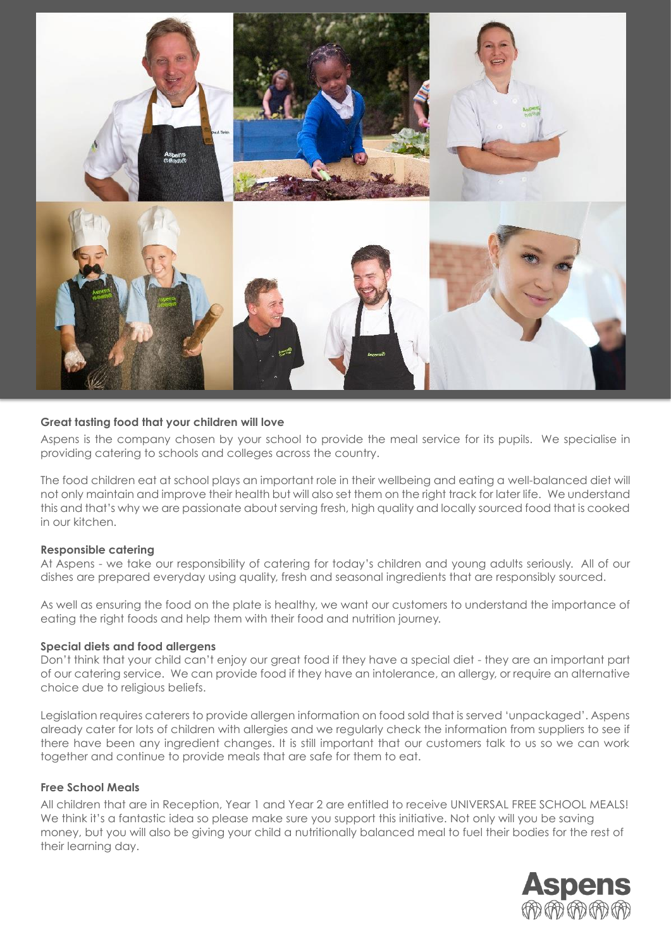

### **Great tasting food that your children will love**

Aspens is the company chosen by your school to provide the meal service for its pupils. We specialise in providing catering to schools and colleges across the country.

The food children eat at school plays an important role in their wellbeing and eating a well-balanced diet will not only maintain and improve their health but will also set them on the right track for later life. We understand this and that's why we are passionate about serving fresh, high quality and locally sourced food that is cooked in our kitchen.

#### **Responsible catering**

At Aspens - we take our responsibility of catering for today's children and young adults seriously. All of our dishes are prepared everyday using quality, fresh and seasonal ingredients that are responsibly sourced.

As well as ensuring the food on the plate is healthy, we want our customers to understand the importance of eating the right foods and help them with their food and nutrition journey.

#### **Special diets and food allergens**

Don't think that your child can't enjoy our great food if they have a special diet - they are an important part of our catering service. We can provide food if they have an intolerance, an allergy, or require an alternative choice due to religious beliefs.

Legislation requires caterers to provide allergen information on food sold that is served 'unpackaged'. Aspens already cater for lots of children with allergies and we regularly check the information from suppliers to see if there have been any ingredient changes. It is still important that our customers talk to us so we can work together and continue to provide meals that are safe for them to eat.

### **Free School Meals**

All children that are in Reception, Year 1 and Year 2 are entitled to receive UNIVERSAL FREE SCHOOL MEALS! We think it's a fantastic idea so please make sure you support this initiative. Not only will you be saving money, but you will also be giving your child a nutritionally balanced meal to fuel their bodies for the rest of their learning day.